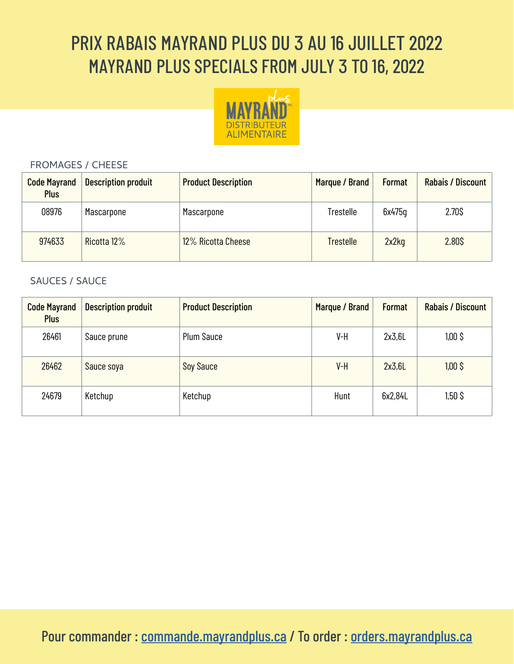# PRIX RABAIS MAYRAND PLUS DU 3 AU 16 JUILLET 2022 MAYRAND PLUS SPECIALS FROM JULY 3 TO 16, 2022



#### FROMAGES / CHEESE

| <b>Code Mayrand</b><br><b>Plus</b> | <b>Description produit</b> | <b>Product Description</b> | Marque / Brand   | <b>Format</b> | Rabais / Discount |
|------------------------------------|----------------------------|----------------------------|------------------|---------------|-------------------|
| 08976                              | Mascarpone                 | Mascarpone                 | Trestelle        | 6x475q        | 2.70\$            |
| 974633                             | Ricotta 12%                | 12% Ricotta Cheese         | <b>Trestelle</b> | 2x2kq         | 2.80\$            |

#### SAUCES / SAUCE

| <b>Code Mayrand</b><br><b>Plus</b> | <b>Description produit</b> | <b>Product Description</b> | Marque / Brand | <b>Format</b> | Rabais / Discount |
|------------------------------------|----------------------------|----------------------------|----------------|---------------|-------------------|
| 26461                              | Sauce prune                | <b>Plum Sauce</b>          | V-H            | 2x3.6L        | $1,00$ \$         |
| 26462                              | Sauce soya                 | <b>Soy Sauce</b>           | $V-H$          | 2x3,6L        | $1,00$ \$         |
| 24679                              | Ketchup                    | Ketchup                    | Hunt           | 6x2,84L       | $1,50$ \$         |

Pour commander : [commande.mayrandplus.ca](http://commande.mayrandplus.ca) / To order : [orders.mayrandplus.ca](http://orders.mayrandplus.ca)